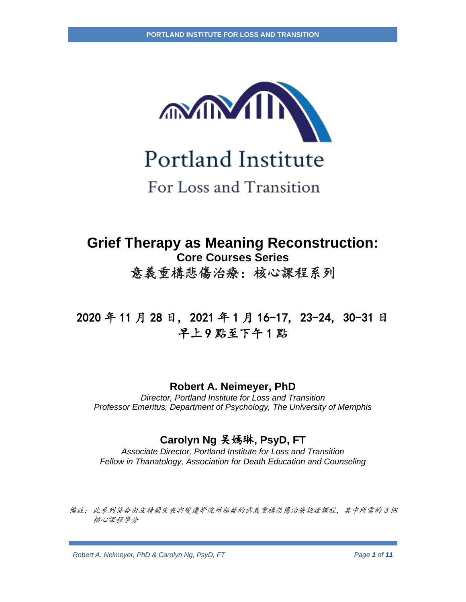

Portland Institute

For Loss and Transition

# **Grief Therapy as Meaning Reconstruction: Core Courses Series** 意義重構悲傷治療:核心課程系列

# 2020 年 11 月 28 日, 2021 年 1 月 16-17, 23-24, 30-31 日 早上 9 點至下午 1 點

## **Robert A. Neimeyer, PhD**

*Director, Portland Institute for Loss and Transition Professor Emeritus, Department of Psychology, The University of Memphis*

## **Carolyn Ng** 吴嫣琳**, PsyD, FT**

*Associate Director, Portland Institute for Loss and Transition Fellow in Thanatology, Association for Death Education and Counseling*

備註: 此系列符合由波特蘭失喪與變遷學院所頒發的意義重構悲傷治療認證課程,其中所需的 3 個 核心課程學分

*Robert A. Neimeyer, PhD & Carolyn Ng, PsyD, FT*  $P$ *Page 1 of 11*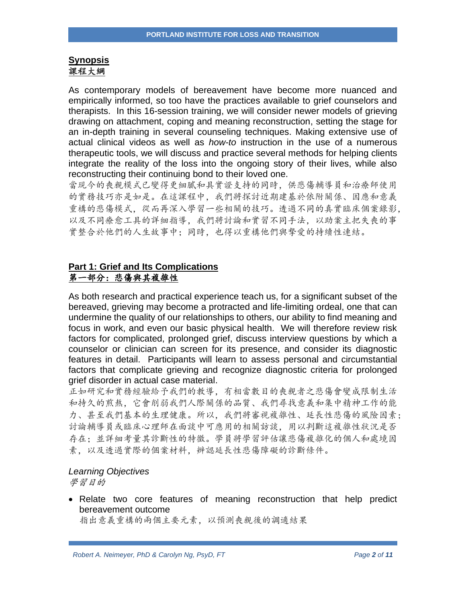## **Synopsis** 課程大綱

As contemporary models of bereavement have become more nuanced and empirically informed, so too have the practices available to grief counselors and therapists. In this 16-session training, we will consider newer models of grieving drawing on attachment, coping and meaning reconstruction, setting the stage for an in-depth training in several counseling techniques. Making extensive use of actual clinical videos as well as *how-to* instruction in the use of a numerous therapeutic tools, we will discuss and practice several methods for helping clients integrate the reality of the loss into the ongoing story of their lives, while also reconstructing their continuing bond to their loved one.

當現今的喪親模式已變得更細膩和具實證支持的同時,供悲傷輔導員和治療師使用 的實務技巧亦是如是。在這課程中,我們將探討近期建基於依附關係、因應和意義 重構的悲傷模式,從而再深入學習一些相關的技巧。透過不同的真實臨床個案錄影, 以及不同療愈工具的詳細指導,我們將討論和實習不同手法,以助案主把失喪的事 實整合於他們的人生故事中;同時,也得以重構他們與摯愛的持續性連結。

## **Part 1: Grief and Its Complications** 第一部分:悲傷與其複雜性

As both research and practical experience teach us, for a significant subset of the bereaved, grieving may become a protracted and life-limiting ordeal, one that can undermine the quality of our relationships to others, our ability to find meaning and focus in work, and even our basic physical health. We will therefore review risk factors for complicated, prolonged grief, discuss interview questions by which a counselor or clinician can screen for its presence, and consider its diagnostic features in detail. Participants will learn to assess personal and circumstantial factors that complicate grieving and recognize diagnostic criteria for prolonged grief disorder in actual case material.

正如研究和實務經驗給予我們的教導,有相當數目的喪親者之悲傷會變成限制生活 和持久的煎熬,它會削弱我們人際關係的品質、我們尋找意義和集中精神工作的能 力、甚至我們基本的生理健康。所以,我們將審視複雜性、延長性悲傷的風險因素; 討論輔導員或臨床心理師在面談中可應用的相關訪談,用以判斷這複雜性狀況是否 存在;並詳細考量其診斷性的特徵。學員將學習評估讓悲傷複雜化的個人和處境因 素,以及透過實際的個案材料,辨認延長性悲傷障礙的診斷條件。

#### *Learning Objectives*

學習目的

• Relate two core features of meaning reconstruction that help predict bereavement outcome

指出意義重構的兩個主要元素,以預測喪親後的調適結果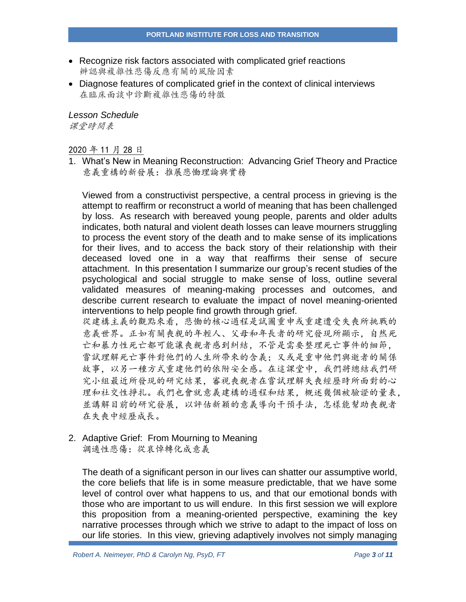- Recognize risk factors associated with complicated grief reactions 辨認與複雜性悲傷反應有關的風險因素
- Diagnose features of complicated grief in the context of clinical interviews 在臨床面談中診斷複雜性悲傷的特徵

*Lesson Schedule* 课堂時間表

2020 年 11 月 28 日

1. What's New in Meaning Reconstruction: Advancing Grief Theory and Practice 意義重構的新發展:推展悲慟理論與實務

Viewed from a constructivist perspective, a central process in grieving is the attempt to reaffirm or reconstruct a world of meaning that has been challenged by loss. As research with bereaved young people, parents and older adults indicates, both natural and violent death losses can leave mourners struggling to process the event story of the death and to make sense of its implications for their lives, and to access the back story of their relationship with their deceased loved one in a way that reaffirms their sense of secure attachment. In this presentation I summarize our group's recent studies of the psychological and social struggle to make sense of loss, outline several validated measures of meaning-making processes and outcomes, and describe current research to evaluate the impact of novel meaning-oriented interventions to help people find growth through grief.

從建構主義的觀點來看,悲慟的核心過程是試圖重申或重建遭受失喪所挑戰的 意義世界。正如有關喪親的年輕人、父母和年長者的研究發現所顯示,自然死 亡和暴力性死亡都可能讓喪親者感到糾結,不管是需要整理死亡事件的細節, 嘗試理解死亡事件對他們的人生所帶來的含義;又或是重申他們與逝者的關係 故事,以另一種方式重建他們的依附安全感。在這課堂中,我們將總結我們研 究小組最近所發現的研究結果,審視喪親者在嘗試理解失喪經歷時所面對的心 理和社交性掙扎。我們也會就意義建構的過程和結果,概述幾個被驗證的量表, 並講解目前的研究發展,以評估新穎的意義導向干預手法,怎樣能幫助喪親者 在失喪中經歷成長。

## 2. Adaptive Grief: From Mourning to Meaning

調適性悲傷:從哀悼轉化成意義

The death of a significant person in our lives can shatter our assumptive world, the core beliefs that life is in some measure predictable, that we have some level of control over what happens to us, and that our emotional bonds with those who are important to us will endure. In this first session we will explore this proposition from a meaning-oriented perspective, examining the key narrative processes through which we strive to adapt to the impact of loss on our life stories. In this view, grieving adaptively involves not simply managing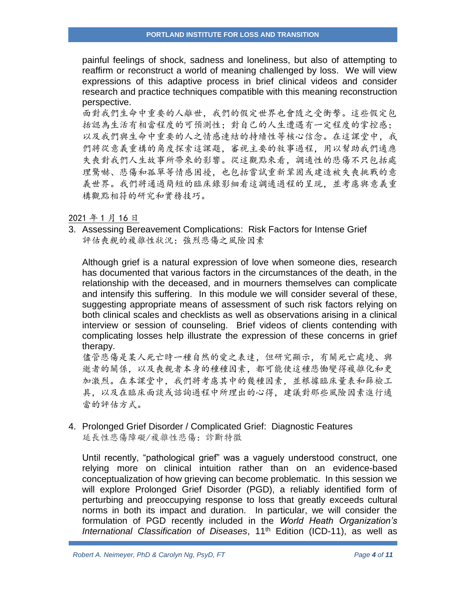painful feelings of shock, sadness and loneliness, but also of attempting to reaffirm or reconstruct a world of meaning challenged by loss. We will view expressions of this adaptive process in brief clinical videos and consider research and practice techniques compatible with this meaning reconstruction perspective.

面對我們生命中重要的人離世,我們的假定世界也會隨之受衝擊。這些假定包 括認為生活有相當程度的可預測性;對自己的人生遭遇有一定程度的掌控感; 以及我們與生命中重要的人之情感連結的持續性等核心信念。在這課堂中,我 們將從意義重構的角度探索這課題,審視主要的敘事過程,用以幫助我們適應 失喪對我們人生故事所帶來的影響。從這觀點來看,調適性的悲傷不只包括處 理驚嚇、悲傷和孤單等情感困擾,也包括嘗試重新鞏固或建造被失喪挑戰的意 義世界。我們將通過簡短的臨床錄影細看這調適過程的呈現,並考慮與意義重 構觀點相符的研究和實務技巧。

#### 2021 年 1 月 16 日

3. Assessing Bereavement Complications: Risk Factors for Intense Grief 評估喪親的複雜性狀況:強烈悲傷之風險因素

Although grief is a natural expression of love when someone dies, research has documented that various factors in the circumstances of the death, in the relationship with the deceased, and in mourners themselves can complicate and intensify this suffering. In this module we will consider several of these, suggesting appropriate means of assessment of such risk factors relying on both clinical scales and checklists as well as observations arising in a clinical interview or session of counseling. Brief videos of clients contending with complicating losses help illustrate the expression of these concerns in grief therapy.

儘管悲傷是某人死亡時一種自然的愛之表達,但研究顯示,有關死亡處境、與 逝者的關係,以及喪親者本身的種種因素,都可能使這種悲慟變得複雜化和更 加激烈。在本課堂中,我們將考慮其中的幾種因素,並根據臨床量表和篩檢工 具,以及在臨床面談或諮詢過程中所理出的心得,建議對那些風險因素進行適 當的評估方式。

4. Prolonged Grief Disorder / Complicated Grief: Diagnostic Features 延長性悲傷障礙/複雜性悲傷:診斷特徵

Until recently, "pathological grief" was a vaguely understood construct, one relying more on clinical intuition rather than on an evidence-based conceptualization of how grieving can become problematic. In this session we will explore Prolonged Grief Disorder (PGD), a reliably identified form of perturbing and preoccupying response to loss that greatly exceeds cultural norms in both its impact and duration. In particular, we will consider the formulation of PGD recently included in the *World Heath Organization's International Classification of Diseases*, 11th Edition (ICD-11), as well as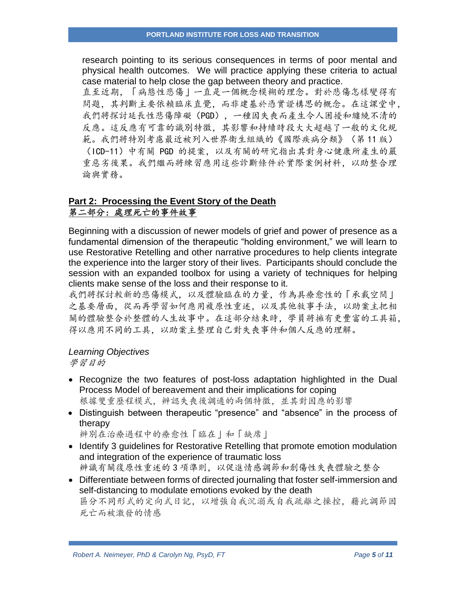research pointing to its serious consequences in terms of poor mental and physical health outcomes. We will practice applying these criteria to actual case material to help close the gap between theory and practice.

直至近期,「病態性悲傷」一直是一個概念模糊的理念。對於悲傷怎樣變得有 問題,其判斷主要依賴臨床直覺,而非建基於憑實證構思的概念。在這課堂中, 我們將探討延長性悲傷障礙(PGD),一種因失喪而產生令人困擾和纏繞不清的 反應。這反應有可靠的識別特徵,其影響和持續時段大大超越了一般的文化規 範。我們將特別考慮最近被列入世界衛生組織的《國際疾病分類》(第 11 版) (ICD-11)中有關 PGD 的提案,以及有關的研究指出其對身心健康所產生的嚴 重惡劣後果。我們繼而將練習應用這些診斷條件於實際案例材料,以助整合理 論與實務。

## **Part 2: Processing the Event Story of the Death** 第二部分:處理死亡的事件故事

Beginning with a discussion of newer models of grief and power of presence as a fundamental dimension of the therapeutic "holding environment," we will learn to use Restorative Retelling and other narrative procedures to help clients integrate the experience into the larger story of their lives. Participants should conclude the session with an expanded toolbox for using a variety of techniques for helping clients make sense of the loss and their response to it.

我們將探討較新的悲傷模式,以及體驗臨在的力量,作為具療愈性的「承載空間」 之基要層面,從而再學習如何應用複原性重述,以及其他敘事手法,以助案主把相 關的體驗整合於整體的人生故事中。在這部分結束時,學員將擁有更豐富的工具箱, 得以應用不同的工具,以助案主整理自己對失喪事件和個人反應的理解。

## *Learning Objectives*

學習目的

- Recognize the two features of post-loss adaptation highlighted in the Dual Process Model of bereavement and their implications for coping 根據雙重歷程模式,辨認失喪後調適的兩個特徵,並其對因應的影響
- Distinguish between therapeutic "presence" and "absence" in the process of therapy

辨別在治療過程中的療愈性「臨在」和「缺席」

- Identify 3 guidelines for Restorative Retelling that promote emotion modulation and integration of the experience of traumatic loss 辨識有關復原性重述的 3 項準則,以促進情感調節和創傷性失喪體驗之整合
- Differentiate between forms of directed journaling that foster self-immersion and self-distancing to modulate emotions evoked by the death 區分不同形式的定向式日記,以增強自我沉溺或自我疏離之操控,藉此調節因 死亡而被激發的情感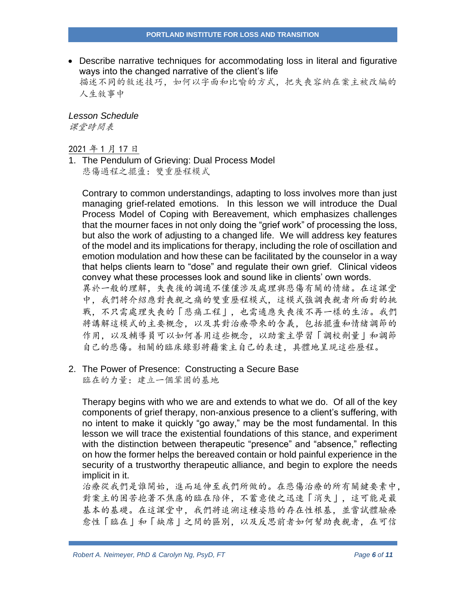• Describe narrative techniques for accommodating loss in literal and figurative ways into the changed narrative of the client's life 描述不同的敘述技巧,如何以字面和比喻的方式,把失喪容納在案主被改编的 人生敘事中

*Lesson Schedule* 课堂時間表

2021 年 1 月 17 日

1. The Pendulum of Grieving: Dual Process Model 悲傷過程之擺盪:雙重歷程模式

Contrary to common understandings, adapting to loss involves more than just managing grief-related emotions. In this lesson we will introduce the Dual Process Model of Coping with Bereavement, which emphasizes challenges that the mourner faces in not only doing the "grief work" of processing the loss, but also the work of adjusting to a changed life. We will address key features of the model and its implications for therapy, including the role of oscillation and emotion modulation and how these can be facilitated by the counselor in a way that helps clients learn to "dose" and regulate their own grief. Clinical videos convey what these processes look and sound like in clients' own words.

異於一般的理解,失喪後的調適不僅僅涉及處理與悲傷有關的情緒。在這課堂 中,我們將介紹應對喪親之痛的雙重歷程模式,這模式強調喪親者所面對的挑 戰,不只需處理失喪的「悲痛工程」,也需適應失喪後不再一樣的生活。我們 將講解這模式的主要概念,以及其對治療帶來的含義,包括擺盪和情緒調節的 作用,以及輔導員可以如何善用這些概念,以助案主學習「調校劑量」和調節 自己的悲傷。相關的臨床錄影將藉案主自己的表達,具體地呈現這些歷程。

2. The Power of Presence: Constructing a Secure Base 臨在的力量:建立一個鞏固的基地

Therapy begins with who we are and extends to what we do. Of all of the key components of grief therapy, non-anxious presence to a client's suffering, with no intent to make it quickly "go away," may be the most fundamental. In this lesson we will trace the existential foundations of this stance, and experiment with the distinction between therapeutic "presence" and "absence," reflecting on how the former helps the bereaved contain or hold painful experience in the security of a trustworthy therapeutic alliance, and begin to explore the needs implicit in it.

治療從我們是誰開始,進而延伸至我們所做的。在悲傷治療的所有關鍵要素中, 對案主的困苦抱著不焦慮的臨在陪伴,不蓄意使之迅速「消失」,這可能是最 基本的基礎。在這課堂中,我們將追溯這種姿態的存在性根基,並嘗試體驗療 愈性「臨在」和「缺席」之間的區別,以及反思前者如何幫助喪親者,在可信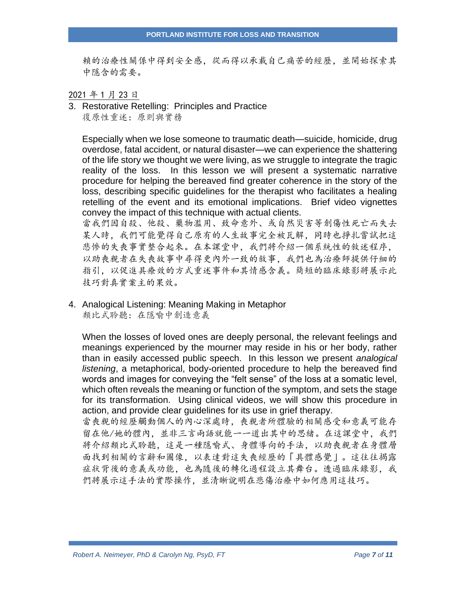賴的治療性關係中得到安全感,從而得以承載自己痛苦的經歷,並開始探索其 中隱含的需要。

#### 2021 年 1 月 23 日

3. Restorative Retelling: Principles and Practice 復原性重述:原則與實務

Especially when we lose someone to traumatic death—suicide, homicide, drug overdose, fatal accident, or natural disaster—we can experience the shattering of the life story we thought we were living, as we struggle to integrate the tragic reality of the loss. In this lesson we will present a systematic narrative procedure for helping the bereaved find greater coherence in the story of the loss, describing specific guidelines for the therapist who facilitates a healing retelling of the event and its emotional implications. Brief video vignettes convey the impact of this technique with actual clients.

當我們因自殺、他殺、藥物濫用、致命意外、或自然災害等創傷性死亡而失去 某人時,我們可能覺得自己原有的人生故事完全被瓦解,同時也掙扎嘗試把這 悲慘的失喪事實整合起來。在本課堂中,我們將介紹一個系統性的敘述程序, 以助喪親者在失喪故事中尋得更內外一致的敘事,我們也為治療師提供仔細的 指引,以促進具療效的方式重述事件和其情感含義。簡短的臨床錄影將展示此 技巧對真實案主的果效。

4. Analogical Listening: Meaning Making in Metaphor 類比式聆聽:在隱喻中創造意義

When the losses of loved ones are deeply personal, the relevant feelings and meanings experienced by the mourner may reside in his or her body, rather than in easily accessed public speech. In this lesson we present *analogical listening*, a metaphorical, body-oriented procedure to help the bereaved find words and images for conveying the "felt sense" of the loss at a somatic level, which often reveals the meaning or function of the symptom, and sets the stage for its transformation. Using clinical videos, we will show this procedure in action, and provide clear guidelines for its use in grief therapy.

當喪親的經歷觸動個人的內心深處時,喪親者所體驗的相關感受和意義可能存 留在他/她的體內,並非三言兩語就能一一道出其中的思緒。在這課堂中,我們 將介紹類比式聆聽,這是一種隱喻式、身體導向的手法,以助喪親者在身體層 面找到相關的言辭和圖像,以表達對這失喪經歷的「具體感覺」。這往往揭露 症狀背後的意義或功能,也為隨後的轉化過程設立其舞台。透過臨床錄影,我 們將展示這手法的實際操作,並清晰說明在悲傷治療中如何應用這技巧。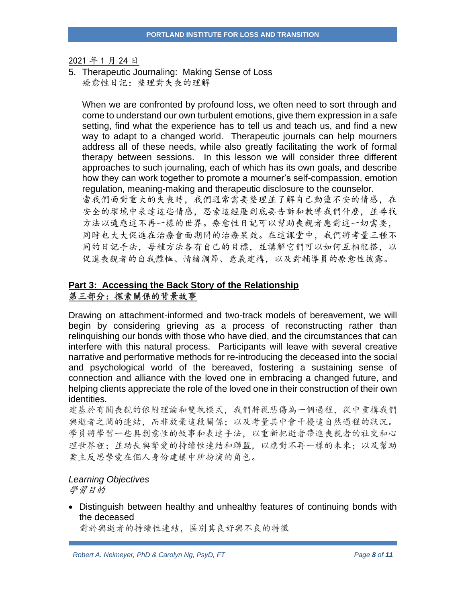2021 年 1 月 24 日

5. Therapeutic Journaling: Making Sense of Loss 療愈性日記:整理對失喪的理解

When we are confronted by profound loss, we often need to sort through and come to understand our own turbulent emotions, give them expression in a safe setting, find what the experience has to tell us and teach us, and find a new way to adapt to a changed world. Therapeutic journals can help mourners address all of these needs, while also greatly facilitating the work of formal therapy between sessions. In this lesson we will consider three different approaches to such journaling, each of which has its own goals, and describe how they can work together to promote a mourner's self-compassion, emotion regulation, meaning-making and therapeutic disclosure to the counselor. 當我們面對重大的失喪時,我們通常需要整理並了解自己動盪不安的情感,在

安全的環境中表達這些情感,思索這經歷到底要告訴和教導我們什麼,並尋找 方法以適應這不再一樣的世界。療愈性日記可以幫助喪親者應對這一切需要, 同時也大大促進在治療會面期間的治療果效。在這課堂中,我們將考量三種不 同的日記手法,每種方法各有自己的目標,並講解它們可以如何互相配搭,以 促進喪親者的自我體恤、情緒調節、意義建構,以及對輔導員的療愈性披露。

### **Part 3: Accessing the Back Story of the Relationship** 第三部分:探索關係的背景故事

Drawing on attachment-informed and two-track models of bereavement, we will begin by considering grieving as a process of reconstructing rather than relinquishing our bonds with those who have died, and the circumstances that can interfere with this natural process. Participants will leave with several creative narrative and performative methods for re-introducing the deceased into the social and psychological world of the bereaved, fostering a sustaining sense of connection and alliance with the loved one in embracing a changed future, and helping clients appreciate the role of the loved one in their construction of their own identities.

建基於有關喪親的依附理論和雙軌模式,我們將視悲傷為一個過程,從中重構我們 與逝者之間的連結,而非放棄這段關係;以及考量其中會干擾這自然過程的狀況。 學員將學習一些具創意性的敘事和表達手法,以重新把逝者帶進喪親者的社交和心 理世界裡:並助長與摯愛的持續性連結和聯盟,以應對不再一樣的未來;以及幫助 案主反思摯愛在個人身份建構中所扮演的角色。

#### *Learning Objectives*

學習目的

• Distinguish between healthy and unhealthy features of continuing bonds with the deceased

對於與逝者的持續性連結,區別其良好與不良的特徵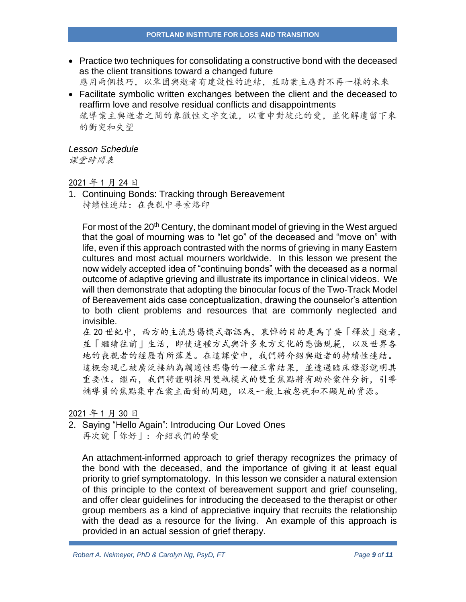• Practice two techniques for consolidating a constructive bond with the deceased as the client transitions toward a changed future

應用兩個技巧,以鞏固與逝者有建設性的連結,並助案主應對不再一樣的未來

• Facilitate symbolic written exchanges between the client and the deceased to reaffirm love and resolve residual conflicts and disappointments 疏導案主與逝者之間的象徵性文字交流,以重申對彼此的愛,並化解遺留下來 的衝突和失望

### *Lesson Schedule*

课堂時間表

#### 2021 年 1 月 24 日

1. Continuing Bonds: Tracking through Bereavement 持續性連結:在喪親中尋索烙印

For most of the 20<sup>th</sup> Century, the dominant model of grieving in the West argued that the goal of mourning was to "let go" of the deceased and "move on" with life, even if this approach contrasted with the norms of grieving in many Eastern cultures and most actual mourners worldwide. In this lesson we present the now widely accepted idea of "continuing bonds" with the deceased as a normal outcome of adaptive grieving and illustrate its importance in clinical videos. We will then demonstrate that adopting the binocular focus of the Two-Track Model of Bereavement aids case conceptualization, drawing the counselor's attention to both client problems and resources that are commonly neglected and invisible.

在 20 世紀中, 西方的主流悲傷模式都認為, 哀悼的目的是為了要「釋放」逝者, 並「繼續往前」生活,即使這種方式與許多東方文化的悲慟規範,以及世界各 地的喪親者的經歷有所落差。在這課堂中,我們將介紹與逝者的持續性連結。 這概念現已被廣泛接納為調適性悲傷的一種正常結果,並透過臨床錄影說明其 重要性。繼而,我們將證明採用雙軌模式的雙重焦點將有助於案件分析,引導 輔導員的焦點集中在案主面對的問題,以及一般上被忽視和不顯見的資源。

#### 2021 年 1 月 30 日

2. Saying "Hello Again": Introducing Our Loved Ones 再次說「你好」:介紹我們的摯愛

An attachment-informed approach to grief therapy recognizes the primacy of the bond with the deceased, and the importance of giving it at least equal priority to grief symptomatology. In this lesson we consider a natural extension of this principle to the context of bereavement support and grief counseling, and offer clear guidelines for introducing the deceased to the therapist or other group members as a kind of appreciative inquiry that recruits the relationship with the dead as a resource for the living. An example of this approach is provided in an actual session of grief therapy.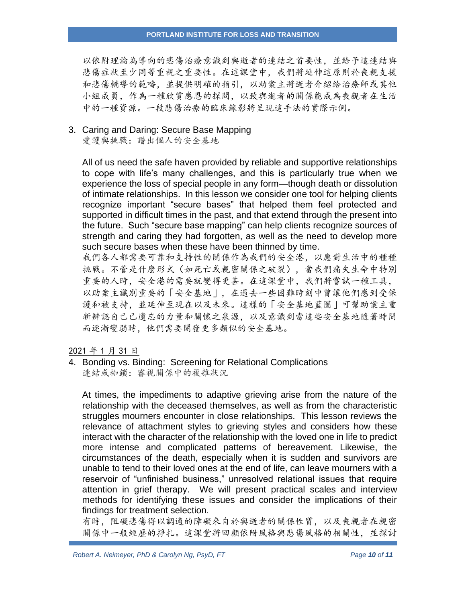#### **PORTLAND INSTITUTE FOR LOSS AND TRANSITION**

以依附理論為導向的悲傷治療意識到與逝者的連結之首要性,並給予這連結與 悲傷症狀至少同等重視之重要性。在這課堂中,我們將延伸這原則於喪親支援 和悲傷輔導的範疇,並提供明確的指引,以助案主將逝者介紹給治療師或其他 小組成員,作為一種欣賞感恩的探問,以致與逝者的關係能成為喪親者在生活 中的一種資源。一段悲傷治療的臨床錄影將呈現這手法的實際示例。

## 3. Caring and Daring: Secure Base Mapping

愛護與挑戰:譜出個人的安全基地

All of us need the safe haven provided by reliable and supportive relationships to cope with life's many challenges, and this is particularly true when we experience the loss of special people in any form—though death or dissolution of intimate relationships. In this lesson we consider one tool for helping clients recognize important "secure bases" that helped them feel protected and supported in difficult times in the past, and that extend through the present into the future. Such "secure base mapping" can help clients recognize sources of strength and caring they had forgotten, as well as the need to develop more such secure bases when these have been thinned by time.

我們各人都需要可靠和支持性的關係作為我們的安全港,以應對生活中的種種 挑戰。不管是什麼形式(如死亡或親密關係之破裂),當我們痛失生命中特別 重要的人時,安全港的需要就變得更甚。在這課堂中,我們將嘗試一種工具, 以助案主識別重要的「安全基地」,在過去一些困難時刻中曾讓他們感到受保 護和被支持,並延伸至現在以及未來。這樣的「安全基地藍圖」可幫助案主重 新辨認自己已遺忘的力量和關懷之泉源,以及意識到當這些安全基地隨著時間 而逐漸變弱時,他們需要開發更多類似的安全基地。

2021 年 1 月 31 日

4. Bonding vs. Binding: Screening for Relational Complications 連結或枷鎖:審視關係中的複雜狀況

At times, the impediments to adaptive grieving arise from the nature of the relationship with the deceased themselves, as well as from the characteristic struggles mourners encounter in close relationships. This lesson reviews the relevance of attachment styles to grieving styles and considers how these interact with the character of the relationship with the loved one in life to predict more intense and complicated patterns of bereavement. Likewise, the circumstances of the death, especially when it is sudden and survivors are unable to tend to their loved ones at the end of life, can leave mourners with a reservoir of "unfinished business," unresolved relational issues that require attention in grief therapy. We will present practical scales and interview methods for identifying these issues and consider the implications of their findings for treatment selection.

有時,阻礙悲傷得以調適的障礙來自於與逝者的關係性質,以及喪親者在親密 關係中一般經歷的掙扎。這課堂將回顧依附風格與悲傷風格的相關性,並探討